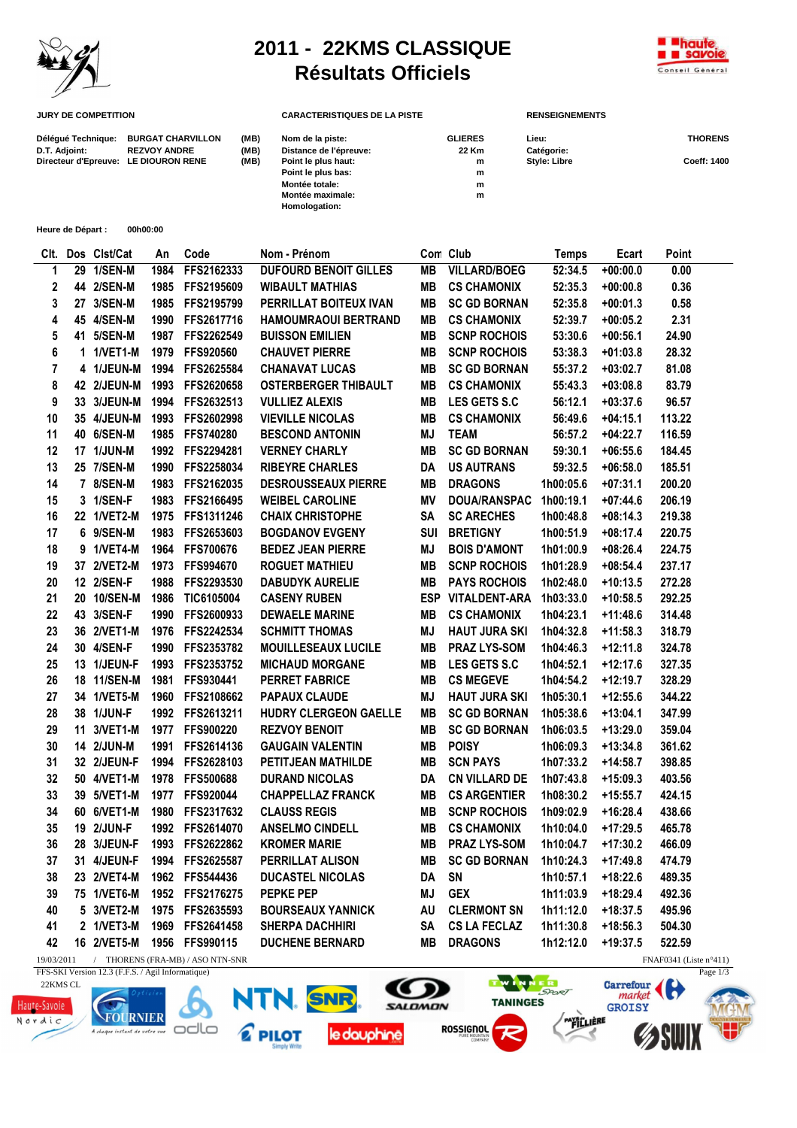

## **2011 - 22KMS CLASSIQUE Résultats Officiels**



| <b>JURY DE COMPETITION</b>           |                          |      | <b>CARACTERISTIQUES DE LA PISTE</b> |                | <b>RENSEIGNEMENTS</b> |                |  |
|--------------------------------------|--------------------------|------|-------------------------------------|----------------|-----------------------|----------------|--|
| Délégué Technique:                   | <b>BURGAT CHARVILLON</b> | (MB) | Nom de la piste:                    | <b>GLIERES</b> | Lieu:                 | <b>THORENS</b> |  |
| D.T. Adjoint:                        | <b>REZVOY ANDRE</b>      | (MB) | Distance de l'épreuve:              | 22 Km          | Catégorie:            |                |  |
| Directeur d'Epreuve: LE DIOURON RENE |                          | (MB) | Point le plus haut:                 | m              | <b>Style: Libre</b>   | Coeff: 1400    |  |
|                                      |                          |      | Point le plus bas:                  | m              |                       |                |  |
|                                      |                          |      | Montée totale:                      | m              |                       |                |  |
|                                      |                          |      | Montée maximale:                    | m              |                       |                |  |
|                                      |                          |      | Homologation:                       |                |                       |                |  |

**Heure de Départ : 00h00:00**

|            | Clt. Dos Clst/Cat | An   | Code                             | Nom - Prénom                 |            | Con Club             | <b>Temps</b> | Ecart      | Point                            |
|------------|-------------------|------|----------------------------------|------------------------------|------------|----------------------|--------------|------------|----------------------------------|
| 1          | 29 1/SEN-M        | 1984 | FFS2162333                       | <b>DUFOURD BENOIT GILLES</b> | MВ         | <b>VILLARD/BOEG</b>  | 52:34.5      | $+00:00.0$ | 0.00                             |
| 2          | 44 2/SEN-M        | 1985 | FFS2195609                       | <b>WIBAULT MATHIAS</b>       | MВ         | <b>CS CHAMONIX</b>   | 52:35.3      | $+00:00.8$ | 0.36                             |
| 3          | 27 3/SEN-M        | 1985 | FFS2195799                       | PERRILLAT BOITEUX IVAN       | MВ         | <b>SC GD BORNAN</b>  | 52:35.8      | $+00:01.3$ | 0.58                             |
| 4          | 45 4/SEN-M        | 1990 | FFS2617716                       | <b>HAMOUMRAOUI BERTRAND</b>  | MВ         | <b>CS CHAMONIX</b>   | 52:39.7      | $+00:05.2$ | 2.31                             |
| 5          | 41 5/SEN-M        |      | 1987 FFS2262549                  | <b>BUISSON EMILIEN</b>       | MВ         | <b>SCNP ROCHOIS</b>  | 53:30.6      | $+00:56.1$ | 24.90                            |
| 6          | 1 1/VET1-M        | 1979 | <b>FFS920560</b>                 | <b>CHAUVET PIERRE</b>        | MВ         | <b>SCNP ROCHOIS</b>  | 53:38.3      | $+01:03.8$ | 28.32                            |
| 7          | 4 1/JEUN-M        | 1994 | FFS2625584                       | <b>CHANAVAT LUCAS</b>        | MВ         | <b>SC GD BORNAN</b>  | 55:37.2      | $+03:02.7$ | 81.08                            |
| 8          | 42 2/JEUN-M       | 1993 | FFS2620658                       | <b>OSTERBERGER THIBAULT</b>  | MВ         | <b>CS CHAMONIX</b>   | 55:43.3      | $+03:08.8$ | 83.79                            |
| 9          | 33 3/JEUN-M       | 1994 | FFS2632513                       | <b>VULLIEZ ALEXIS</b>        | MВ         | <b>LES GETS S.C</b>  | 56:12.1      | $+03:37.6$ | 96.57                            |
| 10         | 35 4/JEUN-M       | 1993 | FFS2602998                       | <b>VIEVILLE NICOLAS</b>      | MВ         | <b>CS CHAMONIX</b>   | 56:49.6      | $+04:15.1$ | 113.22                           |
| 11         | 40 6/SEN-M        | 1985 | FFS740280                        | <b>BESCOND ANTONIN</b>       | MJ         | <b>TEAM</b>          | 56:57.2      | $+04:22.7$ | 116.59                           |
| 12         | 17 1/JUN-M        | 1992 | FFS2294281                       | <b>VERNEY CHARLY</b>         | <b>MB</b>  | <b>SC GD BORNAN</b>  | 59:30.1      | $+06:55.6$ | 184.45                           |
| 13         | 25 7/SEN-M        | 1990 | FFS2258034                       | <b>RIBEYRE CHARLES</b>       | <b>DA</b>  | <b>US AUTRANS</b>    | 59:32.5      | $+06:58.0$ | 185.51                           |
| 14         | 7 8/SEN-M         | 1983 | FFS2162035                       | <b>DESROUSSEAUX PIERRE</b>   | MВ         | <b>DRAGONS</b>       | 1h00:05.6    | $+07:31.1$ | 200.20                           |
| 15         | 3 1/SEN-F         | 1983 | FFS2166495                       | <b>WEIBEL CAROLINE</b>       | ΜV         | DOUA/RANSPAC         | 1h00:19.1    | $+07:44.6$ | 206.19                           |
| 16         | 22 1/VET2-M       | 1975 | FFS1311246                       | <b>CHAIX CHRISTOPHE</b>      | SA         | <b>SC ARECHES</b>    | 1h00:48.8    | $+08:14.3$ | 219.38                           |
| 17         | 6 9/SEN-M         | 1983 | FFS2653603                       | <b>BOGDANOV EVGENY</b>       | <b>SUI</b> | <b>BRETIGNY</b>      | 1h00:51.9    | $+08:17.4$ | 220.75                           |
| 18         | 9 1/VET4-M        | 1964 | <b>FFS700676</b>                 | <b>BEDEZ JEAN PIERRE</b>     | MJ         | <b>BOIS D'AMONT</b>  | 1h01:00.9    | $+08:26.4$ | 224.75                           |
| 19         | 37 2/VET2-M       | 1973 | <b>FFS994670</b>                 | <b>ROGUET MATHIEU</b>        | MВ         | <b>SCNP ROCHOIS</b>  | 1h01:28.9    | $+08:54.4$ | 237.17                           |
| 20         | 12 2/SEN-F        | 1988 | FFS2293530                       | <b>DABUDYK AURELIE</b>       | MВ         | <b>PAYS ROCHOIS</b>  | 1h02:48.0    | $+10:13.5$ | 272.28                           |
| 21         | 20 10/SEN-M       | 1986 | TIC6105004                       | <b>CASENY RUBEN</b>          |            | ESP VITALDENT-ARA    | 1h03:33.0    | $+10:58.5$ | 292.25                           |
| 22         | 43 3/SEN-F        | 1990 | FFS2600933                       | <b>DEWAELE MARINE</b>        | MВ         | <b>CS CHAMONIX</b>   | 1h04:23.1    | $+11:48.6$ | 314.48                           |
| 23         | 36 2/VET1-M       | 1976 | FFS2242534                       | <b>SCHMITT THOMAS</b>        | ΜJ         | <b>HAUT JURA SKI</b> | 1h04:32.8    | $+11:58.3$ | 318.79                           |
| 24         | 30 4/SEN-F        | 1990 | FFS2353782                       | <b>MOUILLESEAUX LUCILE</b>   | MВ         | <b>PRAZ LYS-SOM</b>  | 1h04:46.3    | $+12:11.8$ | 324.78                           |
| 25         | 13 1/JEUN-F       | 1993 | FFS2353752                       | <b>MICHAUD MORGANE</b>       | MВ         | LES GETS S.C         | 1h04:52.1    | $+12:17.6$ | 327.35                           |
| 26         | 18 11/SEN-M       | 1981 | FFS930441                        | <b>PERRET FABRICE</b>        | MВ         | <b>CS MEGEVE</b>     | 1h04:54.2    | $+12:19.7$ | 328.29                           |
| 27         | 34 1/VET5-M       | 1960 | FFS2108662                       | <b>PAPAUX CLAUDE</b>         | ΜJ         | <b>HAUT JURA SKI</b> | 1h05:30.1    | $+12:55.6$ | 344.22                           |
| 28         | 38 1/JUN-F        |      | 1992 FFS2613211                  | HUDRY CLERGEON GAELLE        | MВ         | <b>SC GD BORNAN</b>  | 1h05:38.6    | $+13:04.1$ | 347.99                           |
| 29         | 11 3/VET1-M       |      | 1977 FFS900220                   | <b>REZVOY BENOIT</b>         | MВ         | <b>SC GD BORNAN</b>  | 1h06:03.5    | $+13:29.0$ | 359.04                           |
| 30         | 14 2/JUN-M        | 1991 | FFS2614136                       | <b>GAUGAIN VALENTIN</b>      | MВ         | <b>POISY</b>         | 1h06:09.3    | $+13:34.8$ | 361.62                           |
| 31         | 32 2/JEUN-F       | 1994 | FFS2628103                       | PETITJEAN MATHILDE           | MВ         | <b>SCN PAYS</b>      | 1h07:33.2    | $+14:58.7$ | 398.85                           |
| 32         | 50 4/VET1-M       | 1978 | <b>FFS500688</b>                 | <b>DURAND NICOLAS</b>        | DA         | <b>CN VILLARD DE</b> | 1h07:43.8    | $+15:09.3$ | 403.56                           |
| 33         | 39 5/VET1-M       | 1977 | FFS920044                        | <b>CHAPPELLAZ FRANCK</b>     | MВ         | <b>CS ARGENTIER</b>  | 1h08:30.2    | $+15:55.7$ | 424.15                           |
| 34         | 60 6/VET1-M       | 1980 | FFS2317632                       | <b>CLAUSS REGIS</b>          | MВ         | <b>SCNP ROCHOIS</b>  | 1h09:02.9    | $+16:28.4$ | 438.66                           |
| 35         | 19 2/JUN-F        | 1992 | FFS2614070                       | <b>ANSELMO CINDELL</b>       | MВ         | <b>CS CHAMONIX</b>   | 1h10:04.0    | $+17:29.5$ | 465.78                           |
| 36         | 28 3/JEUN-F       | 1993 | FFS2622862                       | <b>KROMER MARIE</b>          | MВ         | PRAZ LYS-SOM         | 1h10:04.7    | $+17:30.2$ | 466.09                           |
| 37         | 31 4/JEUN-F       |      | 1994 FFS2625587                  | <b>PERRILLAT ALISON</b>      | MB         | <b>SC GD BORNAN</b>  | 1h10:24.3    | +17:49.8   | 474.79                           |
| 38         | 23 2/VET4-M       |      | 1962 FFS544436                   | <b>DUCASTEL NICOLAS</b>      | DA         | SN                   | 1h10:57.1    | $+18:22.6$ | 489.35                           |
| 39         | 75 1/VET6-M       |      | 1952 FFS2176275                  | <b>PEPKE PEP</b>             | ΜJ         | <b>GEX</b>           | 1h11:03.9    | $+18:29.4$ | 492.36                           |
| 40         | 5 3/VET2-M        |      | 1975 FFS2635593                  | <b>BOURSEAUX YANNICK</b>     | AU         | <b>CLERMONT SN</b>   | 1h11:12.0    | $+18:37.5$ | 495.96                           |
| 41         | 2 1/VET3-M        |      | 1969 FFS2641458                  | <b>SHERPA DACHHIRI</b>       | SA         | <b>CS LA FECLAZ</b>  | 1h11:30.8    | $+18:56.3$ | 504.30                           |
| 42         |                   |      | 16 2/VET5-M 1956 FFS990115       | <b>DUCHENE BERNARD</b>       | MВ         | <b>DRAGONS</b>       | 1h12:12.0    | $+19:37.5$ | 522.59                           |
| 19/03/2011 |                   |      | / THORENS (FRA-MB) / ASO NTN-SNR |                              |            |                      |              |            | FNAF0341 (Liste $n^{\circ}411$ ) |

FFS-SKI Version 12.3 (F.F.S. / Agil Informatique)

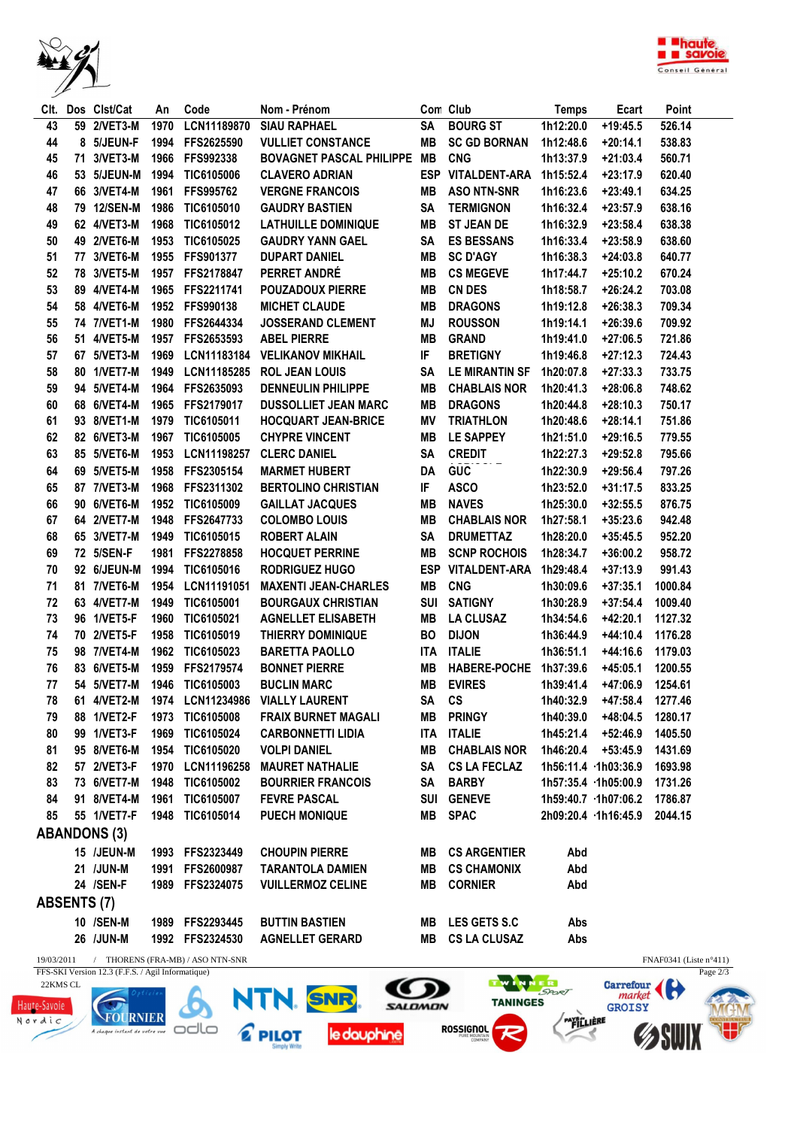



| CIt.               |                                                                 | Dos Clst/Cat               | An   | Code                           | Nom - Prénom                                |            | Con Club              | <b>Temps</b> | Ecart                      | Point                    |
|--------------------|-----------------------------------------------------------------|----------------------------|------|--------------------------------|---------------------------------------------|------------|-----------------------|--------------|----------------------------|--------------------------|
| 43                 |                                                                 | 59 2/VET3-M                | 1970 | LCN11189870                    | <b>SIAU RAPHAEL</b>                         | <b>SA</b>  | <b>BOURG ST</b>       | 1h12:20.0    | $+19:45.5$                 | 526.14                   |
| 44                 |                                                                 | 8 5/JEUN-F                 |      | 1994 FFS2625590                | <b>VULLIET CONSTANCE</b>                    | MВ         | <b>SC GD BORNAN</b>   | 1h12:48.6    | $+20:14.1$                 | 538.83                   |
| 45                 |                                                                 | 71 3/VET3-M                | 1966 | FFS992338                      | <b>BOVAGNET PASCAL PHILIPPE</b>             | MB         | <b>CNG</b>            | 1h13:37.9    | $+21:03.4$                 | 560.71                   |
| 46                 |                                                                 | 53 5/JEUN-M                | 1994 | TIC6105006                     | <b>CLAVERO ADRIAN</b>                       |            | ESP VITALDENT-ARA     | 1h15:52.4    | $+23:17.9$                 | 620.40                   |
| 47                 |                                                                 | 66 3/VET4-M                | 1961 | FFS995762                      | <b>VERGNE FRANCOIS</b>                      | MВ         | <b>ASO NTN-SNR</b>    | 1h16:23.6    | $+23:49.1$                 | 634.25                   |
| 48                 |                                                                 | 79 12/SEN-M                | 1986 | TIC6105010                     | <b>GAUDRY BASTIEN</b>                       | SA         | <b>TERMIGNON</b>      | 1h16:32.4    | $+23:57.9$                 | 638.16                   |
| 49                 |                                                                 | 62 4/VET3-M                | 1968 | TIC6105012                     | <b>LATHUILLE DOMINIQUE</b>                  | MВ         | <b>ST JEAN DE</b>     | 1h16:32.9    | $+23:58.4$                 | 638.38                   |
| 50                 |                                                                 | 49 2/VET6-M                | 1953 | TIC6105025                     | <b>GAUDRY YANN GAEL</b>                     | SA         | <b>ES BESSANS</b>     | 1h16:33.4    | $+23:58.9$                 | 638.60                   |
|                    |                                                                 |                            |      |                                |                                             |            | <b>SC D'AGY</b>       |              |                            |                          |
| 51                 |                                                                 | 77 3/VET6-M<br>78 3/VET5-M |      | 1955 FFS901377                 | <b>DUPART DANIEL</b><br>PERRET ANDRÉ        | MВ         |                       | 1h16:38.3    | $+24:03.8$<br>$+25:10.2$   | 640.77                   |
| 52                 |                                                                 |                            |      | 1957 FFS2178847                |                                             | MВ         | <b>CS MEGEVE</b>      | 1h17:44.7    |                            | 670.24                   |
| 53                 |                                                                 | 89 4/VET4-M                |      | 1965 FFS2211741                | <b>POUZADOUX PIERRE</b>                     | MВ         | <b>CN DES</b>         | 1h18:58.7    | $+26:24.2$                 | 703.08                   |
| 54                 |                                                                 | 58 4/VET6-M                |      | 1952 FFS990138                 | <b>MICHET CLAUDE</b>                        | MВ         | <b>DRAGONS</b>        | 1h19:12.8    | $+26:38.3$                 | 709.34                   |
| 55                 |                                                                 | 74 7/VET1-M                |      | 1980 FFS2644334                | <b>JOSSERAND CLEMENT</b>                    | ΜJ         | <b>ROUSSON</b>        | 1h19:14.1    | $+26:39.6$                 | 709.92                   |
| 56                 |                                                                 | 51 4/VET5-M                | 1957 | FFS2653593                     | <b>ABEL PIERRE</b>                          | MВ         | <b>GRAND</b>          | 1h19:41.0    | $+27:06.5$                 | 721.86                   |
| 57                 |                                                                 | 67 5/VET3-M                | 1969 | LCN11183184                    | <b>VELIKANOV MIKHAIL</b>                    | IF         | <b>BRETIGNY</b>       | 1h19:46.8    | $+27:12.3$                 | 724.43                   |
| 58                 |                                                                 | 80 1/VET7-M                | 1949 | LCN11185285                    | <b>ROL JEAN LOUIS</b>                       | SA         | <b>LE MIRANTIN SF</b> | 1h20:07.8    | $+27:33.3$                 | 733.75                   |
| 59                 |                                                                 | 94 5/VET4-M                | 1964 | FFS2635093                     | <b>DENNEULIN PHILIPPE</b>                   | MВ         | <b>CHABLAIS NOR</b>   | 1h20:41.3    | $+28:06.8$                 | 748.62                   |
| 60                 |                                                                 | 68 6/VET4-M                | 1965 | FFS2179017                     | <b>DUSSOLLIET JEAN MARC</b>                 | MВ         | <b>DRAGONS</b>        | 1h20:44.8    | $+28:10.3$                 | 750.17                   |
| 61                 |                                                                 | 93 8/VET1-M                | 1979 | TIC6105011                     | <b>HOCQUART JEAN-BRICE</b>                  | ΜV         | <b>TRIATHLON</b>      | 1h20:48.6    | $+28:14.1$                 | 751.86                   |
| 62                 |                                                                 | 82 6/VET3-M                | 1967 | TIC6105005                     | <b>CHYPRE VINCENT</b>                       | MВ         | LE SAPPEY             | 1h21:51.0    | $+29:16.5$                 | 779.55                   |
| 63                 |                                                                 | 85 5/VET6-M                | 1953 | LCN11198257                    | <b>CLERC DANIEL</b>                         | SΑ         | <b>CREDIT</b>         | 1h22:27.3    | $+29:52.8$                 | 795.66                   |
| 64                 |                                                                 | 69 5/VET5-M                | 1958 | FFS2305154                     | <b>MARMET HUBERT</b>                        | DA         | <b>GUC</b>            | 1h22:30.9    | $+29:56.4$                 | 797.26                   |
| 65                 |                                                                 | 87 7/VET3-M                | 1968 | FFS2311302                     | <b>BERTOLINO CHRISTIAN</b>                  | IF         | <b>ASCO</b>           | 1h23:52.0    | $+31:17.5$                 | 833.25                   |
| 66                 |                                                                 | 90 6/VET6-M                | 1952 | TIC6105009                     | <b>GAILLAT JACQUES</b>                      | MВ         | <b>NAVES</b>          | 1h25:30.0    | $+32:55.5$                 | 876.75                   |
| 67                 |                                                                 | 64 2/VET7-M                | 1948 | FFS2647733                     | <b>COLOMBO LOUIS</b>                        | MВ         | <b>CHABLAIS NOR</b>   | 1h27:58.1    | $+35:23.6$                 | 942.48                   |
| 68                 |                                                                 | 65 3/VET7-M                | 1949 | TIC6105015                     | <b>ROBERT ALAIN</b>                         | SA         | <b>DRUMETTAZ</b>      | 1h28:20.0    | $+35:45.5$                 | 952.20                   |
|                    |                                                                 |                            |      |                                |                                             |            |                       |              |                            |                          |
| 69                 |                                                                 | 72 5/SEN-F                 | 1981 | FFS2278858                     | <b>HOCQUET PERRINE</b>                      | MВ         | <b>SCNP ROCHOIS</b>   | 1h28:34.7    | $+36:00.2$                 | 958.72                   |
| 70                 |                                                                 | 92 6/JEUN-M                | 1994 | TIC6105016                     | <b>RODRIGUEZ HUGO</b>                       | <b>ESP</b> | <b>VITALDENT-ARA</b>  | 1h29:48.4    | $+37:13.9$                 | 991.43                   |
| 71                 |                                                                 | 81 7/VET6-M                | 1954 | LCN11191051                    | <b>MAXENTI JEAN-CHARLES</b>                 | MВ         | <b>CNG</b>            | 1h30:09.6    | $+37:35.1$                 | 1000.84                  |
| 72                 |                                                                 | 63 4/VET7-M                | 1949 | TIC6105001                     | <b>BOURGAUX CHRISTIAN</b>                   | SUI        | <b>SATIGNY</b>        | 1h30:28.9    | $+37:54.4$                 | 1009.40                  |
| 73                 |                                                                 | 96 1/VET5-F                | 1960 | TIC6105021                     | <b>AGNELLET ELISABETH</b>                   | MВ         | <b>LA CLUSAZ</b>      | 1h34:54.6    | +42:20.1                   | 1127.32                  |
| 74                 |                                                                 | 70 2/VET5-F                | 1958 | TIC6105019                     | <b>THIERRY DOMINIQUE</b>                    | <b>BO</b>  | <b>DIJON</b>          | 1h36:44.9    | $+44:10.4$                 | 1176.28                  |
| 75                 |                                                                 | 98 7/VET4-M                | 1962 | TIC6105023                     | <b>BARETTA PAOLLO</b>                       | <b>ITA</b> | <b>ITALIE</b>         | 1h36:51.1    | $+44:16.6$                 | 1179.03                  |
| 76                 |                                                                 | 83 6/VET5-M                | 1959 | FFS2179574                     | <b>BONNET PIERRE</b>                        | MВ         | <b>HABERE-POCHE</b>   | 1h37:39.6    | $+45:05.1$                 | 1200.55                  |
| 77                 |                                                                 | 54 5/VET7-M                |      | 1946 TIC6105003                | <b>BUCLIN MARC</b>                          | MВ         | <b>EVIRES</b>         | 1h39:41.4    | $+47:06.9$                 | 1254.61                  |
| ${\bf 78}$         |                                                                 |                            |      |                                | 61 4/VET2-M 1974 LCN11234986 VIALLY LAURENT | SA CS      |                       |              | 1h40:32.9 +47:58.4 1277.46 |                          |
| 79                 |                                                                 | 88 1/VET2-F                | 1973 | <b>TIC6105008</b>              | <b>FRAIX BURNET MAGALI</b>                  | MВ         | PRINGY                | 1h40:39.0    | +48:04.5                   | 1280.17                  |
| 80                 |                                                                 | 99 1/VET3-F                | 1969 | TIC6105024                     | <b>CARBONNETTI LIDIA</b>                    | ITA        | <b>ITALIE</b>         |              | 1h45:21.4 +52:46.9         | 1405.50                  |
| 81                 |                                                                 | 95 8/VET6-M                | 1954 | TIC6105020                     | <b>VOLPI DANIEL</b>                         | MВ         | <b>CHABLAIS NOR</b>   |              | $1h46:20.4$ +53:45.9       | 1431.69                  |
| 82                 |                                                                 | 57 2/VET3-F                | 1970 | LCN11196258                    | <b>MAURET NATHALIE</b>                      | SA         | <b>CS LA FECLAZ</b>   |              | 1h56:11.4 1h03:36.9        | 1693.98                  |
| 83                 |                                                                 | 73 6/VET7-M                | 1948 | TIC6105002                     | <b>BOURRIER FRANCOIS</b>                    | SA         | <b>BARBY</b>          |              | 1h57:35.4 1h05:00.9        | 1731.26                  |
| 84                 |                                                                 | 91 8/VET4-M                | 1961 | TIC6105007                     | <b>FEVRE PASCAL</b>                         |            | <b>SUI GENEVE</b>     |              | 1h59:40.7 1h07:06.2        | 1786.87                  |
| 85                 |                                                                 | 55 1/VET7-F                | 1948 | TIC6105014                     | <b>PUECH MONIQUE</b>                        | MВ         | <b>SPAC</b>           |              | 2h09:20.4 1h16:45.9        | 2044.15                  |
|                    |                                                                 | <b>ABANDONS (3)</b>        |      |                                |                                             |            |                       |              |                            |                          |
|                    |                                                                 |                            |      |                                |                                             |            |                       |              |                            |                          |
|                    |                                                                 | 15 /JEUN-M                 |      | 1993 FFS2323449                | <b>CHOUPIN PIERRE</b>                       | MВ         | <b>CS ARGENTIER</b>   | Abd          |                            |                          |
|                    |                                                                 | 21 /JUN-M                  |      | 1991 FFS2600987                | <b>TARANTOLA DAMIEN</b>                     | MB         | <b>CS CHAMONIX</b>    | Abd          |                            |                          |
|                    |                                                                 | 24 /SEN-F                  |      | 1989 FFS2324075                | <b>VUILLERMOZ CELINE</b>                    | MВ         | <b>CORNIER</b>        | Abd          |                            |                          |
| <b>ABSENTS (7)</b> |                                                                 |                            |      |                                |                                             |            |                       |              |                            |                          |
|                    |                                                                 | 10 /SEN-M                  |      | 1989 FFS2293445                | <b>BUTTIN BASTIEN</b>                       | MВ         | <b>LES GETS S.C</b>   | Abs          |                            |                          |
|                    |                                                                 | 26 /JUN-M                  |      | 1992 FFS2324530                | <b>AGNELLET GERARD</b>                      | MB         | <b>CS LA CLUSAZ</b>   | Abs          |                            |                          |
| 19/03/2011         |                                                                 | $\sqrt{2}$                 |      | THORENS (FRA-MB) / ASO NTN-SNR |                                             |            |                       |              |                            | $FNAF0341$ (Liste n°411) |
|                    | FFS-SKI Version 12.3 (F.F.S. / Agil Informatique)<br>Page $2/3$ |                            |      |                                |                                             |            |                       |              |                            |                          |